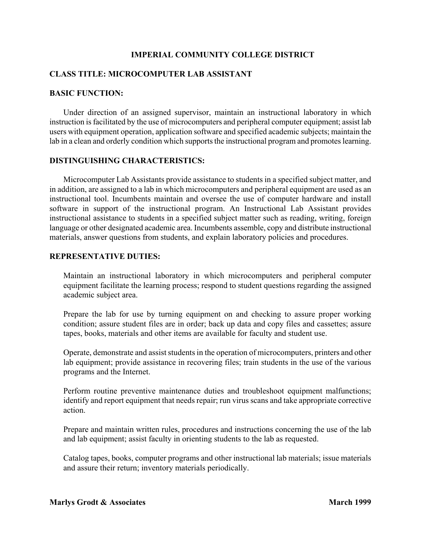### **IMPERIAL COMMUNITY COLLEGE DISTRICT**

# **CLASS TITLE: MICROCOMPUTER LAB ASSISTANT**

#### **BASIC FUNCTION:**

Under direction of an assigned supervisor, maintain an instructional laboratory in which instruction is facilitated by the use of microcomputers and peripheral computer equipment; assist lab users with equipment operation, application software and specified academic subjects; maintain the lab in a clean and orderly condition which supports the instructional program and promotes learning.

### **DISTINGUISHING CHARACTERISTICS:**

 Microcomputer Lab Assistants provide assistance to students in a specified subject matter, and in addition, are assigned to a lab in which microcomputers and peripheral equipment are used as an instructional tool. Incumbents maintain and oversee the use of computer hardware and install software in support of the instructional program. An Instructional Lab Assistant provides instructional assistance to students in a specified subject matter such as reading, writing, foreign language or other designated academic area. Incumbents assemble, copy and distribute instructional materials, answer questions from students, and explain laboratory policies and procedures.

#### **REPRESENTATIVE DUTIES:**

Maintain an instructional laboratory in which microcomputers and peripheral computer equipment facilitate the learning process; respond to student questions regarding the assigned academic subject area.

Prepare the lab for use by turning equipment on and checking to assure proper working condition; assure student files are in order; back up data and copy files and cassettes; assure tapes, books, materials and other items are available for faculty and student use.

Operate, demonstrate and assist students in the operation of microcomputers, printers and other lab equipment; provide assistance in recovering files; train students in the use of the various programs and the Internet.

Perform routine preventive maintenance duties and troubleshoot equipment malfunctions; identify and report equipment that needs repair; run virus scans and take appropriate corrective action.

Prepare and maintain written rules, procedures and instructions concerning the use of the lab and lab equipment; assist faculty in orienting students to the lab as requested.

Catalog tapes, books, computer programs and other instructional lab materials; issue materials and assure their return; inventory materials periodically.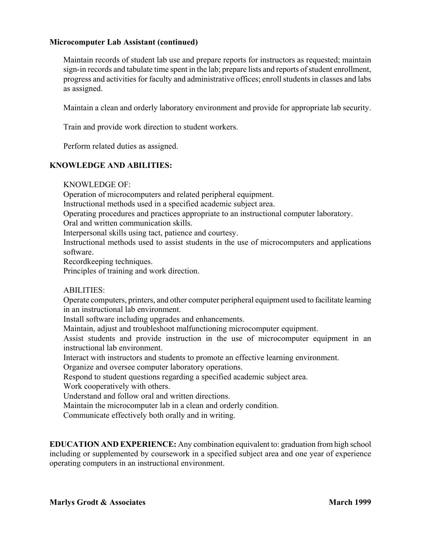# **Microcomputer Lab Assistant (continued)**

Maintain records of student lab use and prepare reports for instructors as requested; maintain sign-in records and tabulate time spent in the lab; prepare lists and reports of student enrollment, progress and activities for faculty and administrative offices; enroll students in classes and labs as assigned.

Maintain a clean and orderly laboratory environment and provide for appropriate lab security.

Train and provide work direction to student workers.

Perform related duties as assigned.

# **KNOWLEDGE AND ABILITIES:**

KNOWLEDGE OF:

Operation of microcomputers and related peripheral equipment.

Instructional methods used in a specified academic subject area.

Operating procedures and practices appropriate to an instructional computer laboratory.

Oral and written communication skills.

Interpersonal skills using tact, patience and courtesy.

Instructional methods used to assist students in the use of microcomputers and applications software.

Recordkeeping techniques.

Principles of training and work direction.

### ABILITIES:

Operate computers, printers, and other computer peripheral equipment used to facilitate learning in an instructional lab environment.

Install software including upgrades and enhancements.

Maintain, adjust and troubleshoot malfunctioning microcomputer equipment.

 Assist students and provide instruction in the use of microcomputer equipment in an instructional lab environment.

Interact with instructors and students to promote an effective learning environment.

Organize and oversee computer laboratory operations.

Respond to student questions regarding a specified academic subject area.

Work cooperatively with others.

Understand and follow oral and written directions.

Maintain the microcomputer lab in a clean and orderly condition.

Communicate effectively both orally and in writing.

**EDUCATION AND EXPERIENCE:** Any combination equivalent to: graduation from high school including or supplemented by coursework in a specified subject area and one year of experience operating computers in an instructional environment.